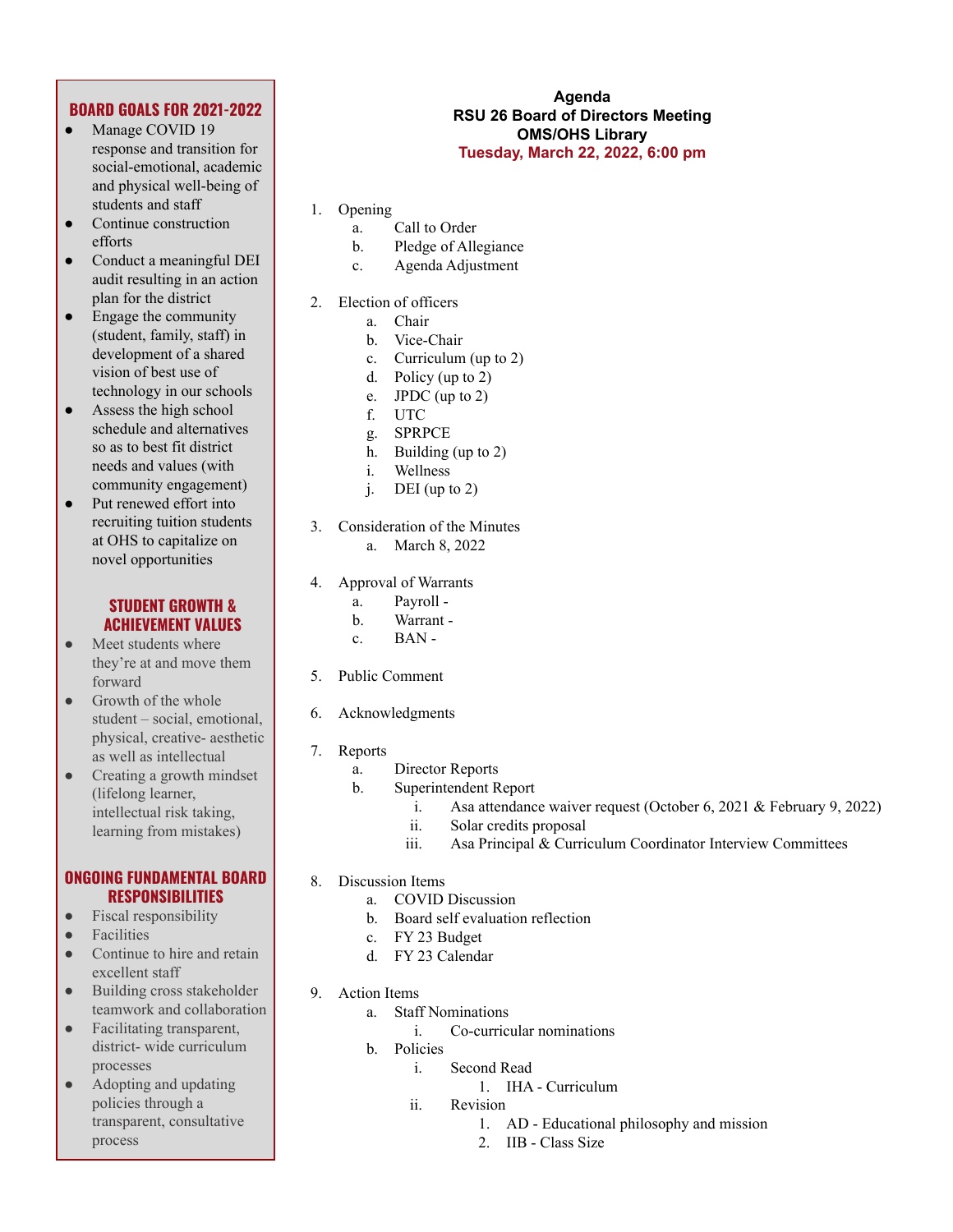# **BOARD GOALS FOR 2021-2022**

- Manage COVID 19 response and transition for social-emotional, academic and physical well-being of students and staff
- Continue construction efforts
- Conduct a meaningful DEI audit resulting in an action plan for the district
- $\bullet$  Engage the community (student, family, staff) in development of a shared vision of best use of technology in our schools
- Assess the high school schedule and alternatives so as to best fit district needs and values (with community engagement)
- Put renewed effort into recruiting tuition students at OHS to capitalize on novel opportunities

### **STUDENT GROWTH & ACHIEVEMENT VALUES**

- Meet students where they're at and move them forward
- Growth of the whole student – social, emotional, physical, creative- aesthetic as well as intellectual
- Creating a growth mindset (lifelong learner, intellectual risk taking, learning from mistakes)

## **ONGOING FUNDAMENTAL BOARD RESPONSIBILITIES**

- Fiscal responsibility
- **Facilities**
- Continue to hire and retain excellent staff
- Building cross stakeholder teamwork and collaboration
- Facilitating transparent, district- wide curriculum processes
- Adopting and updating policies through a transparent, consultative process

#### **Agenda RSU 26 Board of Directors Meeting OMS/OHS Library Tuesday, March 22, 2022, 6:00 pm**

- 1. Opening
	- a. Call to Order
	- b. Pledge of Allegiance
	- c. Agenda Adjustment
- 2. Election of officers
	- a. Chair
	- b. Vice-Chair
	- c. Curriculum (up to 2)
	- d. Policy (up to 2)
	- e. JPDC (up to 2)
	- f. UTC
	- g. SPRPCE
	- h. Building (up to 2)
	- i. Wellness
	- $i.$  DEI (up to 2)
- 3. Consideration of the Minutes
	- a. March 8, 2022
- 4. Approval of Warrants
	- a. Payroll -
	- b. Warrant -
	- c. BAN -
- 5. Public Comment
- 6. Acknowledgments
- 7. Reports
	- a. Director Reports
	- b. Superintendent Report
		- i. Asa attendance waiver request (October 6, 2021 & February 9, 2022)
		- ii. Solar credits proposal
		- iii. Asa Principal & Curriculum Coordinator Interview Committees
- 8. Discussion Items
	- a. COVID Discussion
	- b. Board self evaluation reflection
	- c. FY 23 Budget
	- d. FY 23 Calendar
- 9. Action Items
	- a. Staff Nominations
		- i. Co-curricular nominations
	- b. Policies
		- i. Second Read
			- 1. IHA Curriculum
		- ii. Revision
			- 1. AD Educational philosophy and mission
				- 2. IIB Class Size